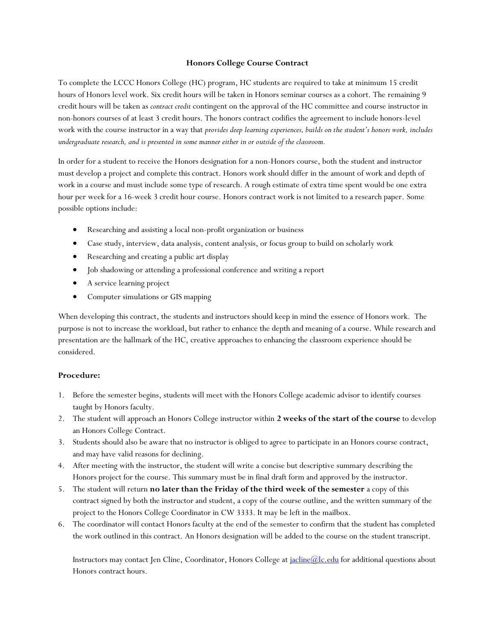## **Honors College Course Contract**

To complete the LCCC Honors College (HC) program, HC students are required to take at minimum 15 credit hours of Honors level work. Six credit hours will be taken in Honors seminar courses as a cohort. The remaining 9 credit hours will be taken as *contract credit* contingent on the approval of the HC committee and course instructor in non-honors courses of at least 3 credit hours. The honors contract codifies the agreement to include honors-level work with the course instructor in a way that *provides deep learning experiences, builds on the student's honors work, includes undergraduate research, and is presented in some manner either in or outside of the classroom.* 

In order for a student to receive the Honors designation for a non-Honors course, both the student and instructor must develop a project and complete this contract. Honors work should differ in the amount of work and depth of work in a course and must include some type of research. A rough estimate of extra time spent would be one extra hour per week for a 16-week 3 credit hour course. Honors contract work is not limited to a research paper. Some possible options include:

- Researching and assisting a local non-profit organization or business
- Case study, interview, data analysis, content analysis, or focus group to build on scholarly work
- Researching and creating a public art display
- Job shadowing or attending a professional conference and writing a report
- A service learning project
- Computer simulations or GIS mapping

When developing this contract, the students and instructors should keep in mind the essence of Honors work. The purpose is not to increase the workload, but rather to enhance the depth and meaning of a course. While research and presentation are the hallmark of the HC, creative approaches to enhancing the classroom experience should be considered.

## **Procedure:**

- 1. Before the semester begins, students will meet with the Honors College academic advisor to identify courses taught by Honors faculty.
- 2. The student will approach an Honors College instructor within **2 weeks of the start of the course** to develop an Honors College Contract.
- 3. Students should also be aware that no instructor is obliged to agree to participate in an Honors course contract, and may have valid reasons for declining.
- 4. After meeting with the instructor, the student will write a concise but descriptive summary describing the Honors project for the course. This summary must be in final draft form and approved by the instructor.
- 5. The student will return **no later than the Friday of the third week of the semester** a copy of this contract signed by both the instructor and student, a copy of the course outline, and the written summary of the project to the Honors College Coordinator in CW 3333. It may be left in the mailbox.
- 6. The coordinator will contact Honors faculty at the end of the semester to confirm that the student has completed the work outlined in this contract. An Honors designation will be added to the course on the student transcript.

Instructors may contact Jen Cline, Coordinator, Honors College a[t jacline@lc.edu](mailto:jacline@lc.edu) for additional questions about Honors contract hours.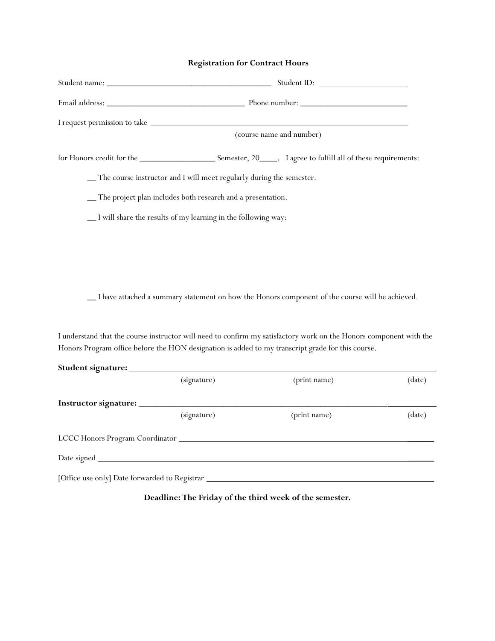## **Registration for Contract Hours**

| (course name and number)                                               |                                                                                                                    |        |  |
|------------------------------------------------------------------------|--------------------------------------------------------------------------------------------------------------------|--------|--|
|                                                                        |                                                                                                                    |        |  |
| _ The course instructor and I will meet regularly during the semester. |                                                                                                                    |        |  |
| -The project plan includes both research and a presentation.           |                                                                                                                    |        |  |
| _I will share the results of my learning in the following way:         |                                                                                                                    |        |  |
|                                                                        |                                                                                                                    |        |  |
|                                                                        |                                                                                                                    |        |  |
|                                                                        |                                                                                                                    |        |  |
|                                                                        | _I have attached a summary statement on how the Honors component of the course will be achieved.                   |        |  |
|                                                                        |                                                                                                                    |        |  |
|                                                                        | I understand that the course instructor will need to confirm my satisfactory work on the Honors component with the |        |  |
|                                                                        | Honors Program office before the HON designation is added to my transcript grade for this course.                  |        |  |
|                                                                        |                                                                                                                    |        |  |
| (signature)                                                            | (print name)                                                                                                       | (date) |  |
|                                                                        |                                                                                                                    |        |  |
| (signature)                                                            | (print name)                                                                                                       | (date) |  |
|                                                                        |                                                                                                                    |        |  |

Date signed \_\_\_\_\_\_

[Office use only] Date forwarded to Registrar \_\_\_\_\_\_

**Deadline: The Friday of the third week of the semester.**